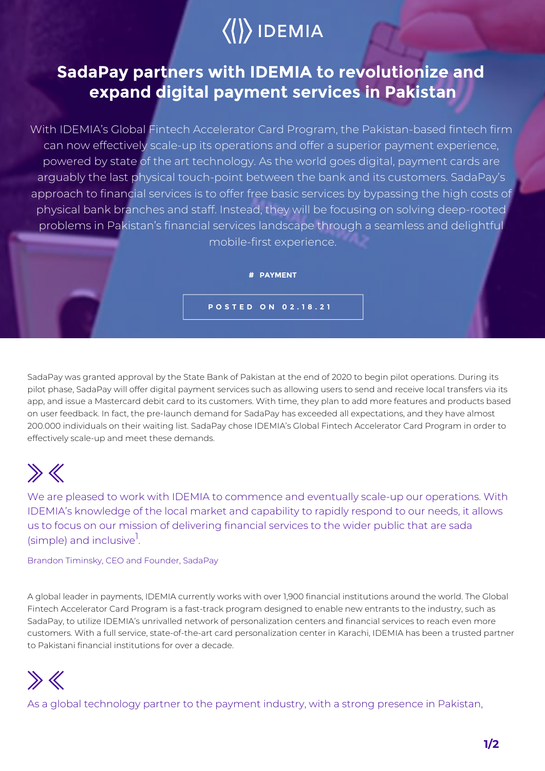# $\langle\langle\rangle\rangle$  IDEMIA

### **SadaPay partners with IDEMIA to revolutionize and expand digital payment services in Pakistan**

With IDEMIA's Global Fintech Accelerator Card Program, the Pakistan-based fintech firm can now effectively scale-up its operations and offer a superior payment experience, powered by state of the art technology. As the world goes digital, payment cards are arguably the last physical touch-point between the bank and its customers. SadaPay's approach to financial services is to offer free basic services by bypassing the high costs of physical bank branches and staff. Instead, they will be focusing on solving deep-rooted problems in Pakistan's financial services landscape through a seamless and delightful mobile-first experience.

**# PAYMENT**

**POSTED ON 02.18.21**

SadaPay was granted approval by the State Bank of Pakistan at the end of 2020 to begin pilot operations. During its pilot phase, SadaPay will offer digital payment services such as allowing users to send and receive local transfers via its app, and issue a Mastercard debit card to its customers. With time, they plan to add more features and products based on user feedback. In fact, the pre-launch demand for SadaPay has exceeded all expectations, and they have almost 200.000 individuals on their waiting list. SadaPay chose IDEMIA's Global Fintech Accelerator Card Program in order to effectively scale-up and meet these demands.

## $\gg K$

We are pleased to work with IDEMIA to commence and eventually scale-up our operations. With IDEMIA's knowledge of the local market and capability to rapidly respond to our needs, it allows us to focus on our mission of delivering financial services to the wider public that are sada (simple) and inclusive<sup>1</sup>. .

Brandon Timinsky, CEO and Founder, SadaPay

A global leader in payments, IDEMIA currently works with over 1,900 financial institutions around the world. The Global Fintech Accelerator Card Program is a fast-track program designed to enable new entrants to the industry, such as SadaPay, to utilize IDEMIA's unrivalled network of personalization centers and financial services to reach even more customers. With a full service, state-of-the-art card personalization center in Karachi, IDEMIA has been a trusted partner to Pakistani financial institutions for over a decade.



As a global technology partner to the payment industry, with a strong presence in Pakistan,